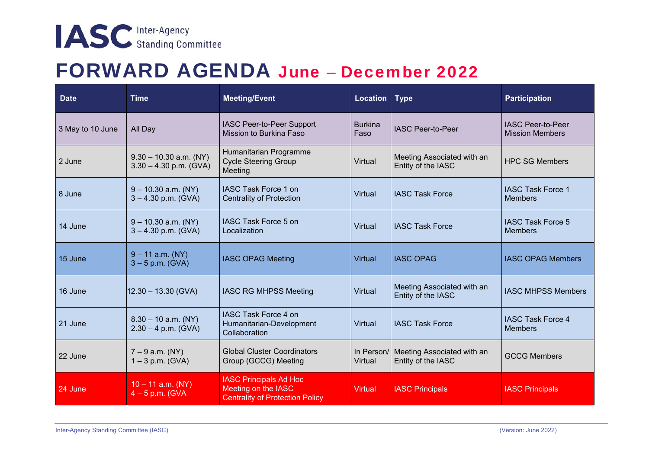## FORWARD AGENDA June – December 2022

| <b>Date</b>      | <b>Time</b>                                          | <b>Meeting/Event</b>                                                                           | <b>Location</b>        | <b>Type</b>                                      | Participation                                      |
|------------------|------------------------------------------------------|------------------------------------------------------------------------------------------------|------------------------|--------------------------------------------------|----------------------------------------------------|
| 3 May to 10 June | All Day                                              | IASC Peer-to-Peer Support<br>Mission to Burkina Faso                                           | <b>Burkina</b><br>Faso | <b>IASC Peer-to-Peer</b>                         | <b>IASC Peer-to-Peer</b><br><b>Mission Members</b> |
| 2 June           | $9.30 - 10.30$ a.m. (NY)<br>$3.30 - 4.30$ p.m. (GVA) | Humanitarian Programme<br><b>Cycle Steering Group</b><br>Meeting                               | Virtual                | Meeting Associated with an<br>Entity of the IASC | <b>HPC SG Members</b>                              |
| 8 June           | $9 - 10.30$ a.m. (NY)<br>$3 - 4.30$ p.m. (GVA)       | IASC Task Force 1 on<br><b>Centrality of Protection</b>                                        | Virtual                | <b>IASC Task Force</b>                           | <b>IASC Task Force 1</b><br><b>Members</b>         |
| 14 June          | $9 - 10.30$ a.m. (NY)<br>$3 - 4.30$ p.m. (GVA)       | IASC Task Force 5 on<br>Localization                                                           | Virtual                | <b>IASC Task Force</b>                           | <b>IASC Task Force 5</b><br><b>Members</b>         |
| 15 June          | $9 - 11$ a.m. (NY)<br>$3 - 5$ p.m. (GVA)             | <b>IASC OPAG Meeting</b>                                                                       | <b>Virtual</b>         | <b>IASC OPAG</b>                                 | <b>IASC OPAG Members</b>                           |
| 16 June          | $12.30 - 13.30$ (GVA)                                | <b>IASC RG MHPSS Meeting</b>                                                                   | Virtual                | Meeting Associated with an<br>Entity of the IASC | <b>IASC MHPSS Members</b>                          |
| 21 June          | $8.30 - 10$ a.m. (NY)<br>$2.30 - 4$ p.m. (GVA)       | IASC Task Force 4 on<br>Humanitarian-Development<br>Collaboration                              | Virtual                | <b>IASC Task Force</b>                           | <b>IASC Task Force 4</b><br><b>Members</b>         |
| 22 June          | $7 - 9$ a.m. (NY)<br>$1 - 3$ p.m. (GVA)              | <b>Global Cluster Coordinators</b><br>Group (GCCG) Meeting                                     | In Person/<br>Virtual  | Meeting Associated with an<br>Entity of the IASC | <b>GCCG Members</b>                                |
| 24 June          | $10 - 11$ a.m. (NY)<br>$4 - 5$ p.m. (GVA             | <b>IASC Principals Ad Hoc</b><br>Meeting on the IASC<br><b>Centrality of Protection Policy</b> | <b>Virtual</b>         | <b>IASC Principals</b>                           | <b>IASC Principals</b>                             |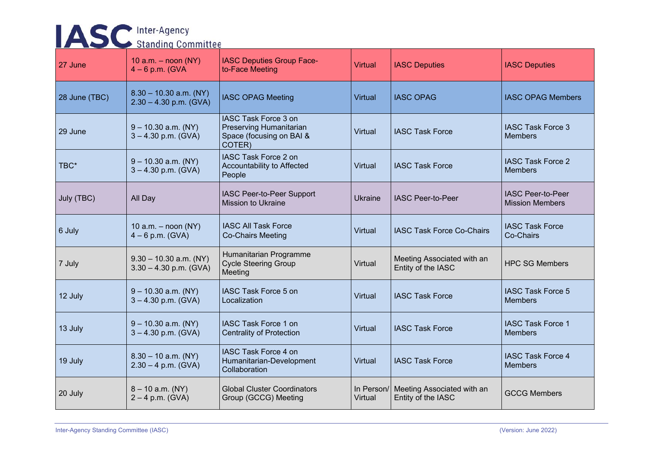## **ASC** Inter-Agency

| 27 June       | 10 a.m. $-$ noon (NY)<br>$4-6$ p.m. (GVA             | <b>IASC Deputies Group Face-</b><br>to-Face Meeting                                   | <b>Virtual</b> | <b>IASC Deputies</b>                                        | <b>IASC Deputies</b>                               |
|---------------|------------------------------------------------------|---------------------------------------------------------------------------------------|----------------|-------------------------------------------------------------|----------------------------------------------------|
| 28 June (TBC) | $8.30 - 10.30$ a.m. (NY)<br>$2.30 - 4.30$ p.m. (GVA) | <b>IASC OPAG Meeting</b>                                                              | <b>Virtual</b> | <b>IASC OPAG</b>                                            | <b>IASC OPAG Members</b>                           |
| 29 June       | $9 - 10.30$ a.m. (NY)<br>$3 - 4.30$ p.m. (GVA)       | IASC Task Force 3 on<br>Preserving Humanitarian<br>Space (focusing on BAI &<br>COTER) | Virtual        | <b>IASC Task Force</b>                                      | <b>IASC Task Force 3</b><br><b>Members</b>         |
| TBC*          | $9 - 10.30$ a.m. (NY)<br>$3 - 4.30$ p.m. (GVA)       | IASC Task Force 2 on<br>Accountability to Affected<br>People                          | Virtual        | <b>IASC Task Force</b>                                      | <b>IASC Task Force 2</b><br><b>Members</b>         |
| July (TBC)    | All Day                                              | IASC Peer-to-Peer Support<br><b>Mission to Ukraine</b>                                | Ukraine        | <b>IASC Peer-to-Peer</b>                                    | <b>IASC Peer-to-Peer</b><br><b>Mission Members</b> |
| 6 July        | 10 a.m. $-$ noon (NY)<br>$4 - 6$ p.m. (GVA)          | <b>IASC All Task Force</b><br><b>Co-Chairs Meeting</b>                                | Virtual        | <b>IASC Task Force Co-Chairs</b>                            | <b>IASC Task Force</b><br>Co-Chairs                |
| 7 July        | $9.30 - 10.30$ a.m. (NY)<br>$3.30 - 4.30$ p.m. (GVA) | Humanitarian Programme<br><b>Cycle Steering Group</b><br>Meeting                      | Virtual        | Meeting Associated with an<br>Entity of the IASC            | <b>HPC SG Members</b>                              |
| 12 July       | $9 - 10.30$ a.m. (NY)<br>$3 - 4.30$ p.m. (GVA)       | IASC Task Force 5 on<br>Localization                                                  | <b>Virtual</b> | <b>IASC Task Force</b>                                      | <b>IASC Task Force 5</b><br><b>Members</b>         |
| 13 July       | $9 - 10.30$ a.m. (NY)<br>$3 - 4.30$ p.m. (GVA)       | IASC Task Force 1 on<br><b>Centrality of Protection</b>                               | Virtual        | <b>IASC Task Force</b>                                      | <b>IASC Task Force 1</b><br><b>Members</b>         |
| 19 July       | $8.30 - 10$ a.m. (NY)<br>$2.30 - 4$ p.m. (GVA)       | IASC Task Force 4 on<br>Humanitarian-Development<br>Collaboration                     | Virtual        | <b>IASC Task Force</b>                                      | <b>IASC Task Force 4</b><br><b>Members</b>         |
| 20 July       | $8 - 10$ a.m. (NY)<br>$2 - 4$ p.m. (GVA)             | <b>Global Cluster Coordinators</b><br>Group (GCCG) Meeting                            | Virtual        | In Person/ Meeting Associated with an<br>Entity of the IASC | <b>GCCG Members</b>                                |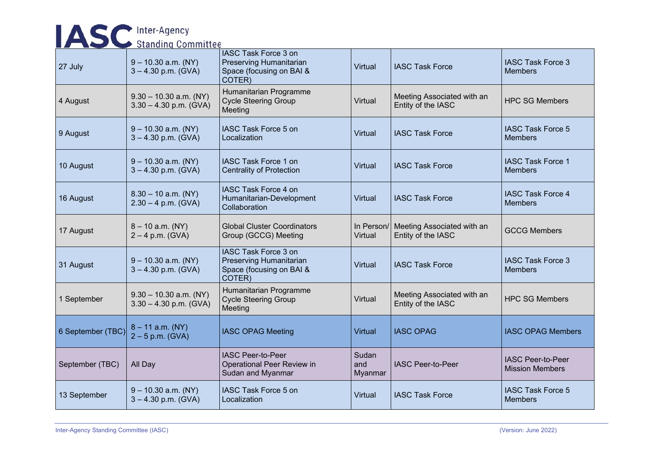| <b>IASC</b> Inter-Agency  |                                                      |                                                                                       |                         |                                                             |                                                    |  |
|---------------------------|------------------------------------------------------|---------------------------------------------------------------------------------------|-------------------------|-------------------------------------------------------------|----------------------------------------------------|--|
| <b>Standing Committee</b> |                                                      |                                                                                       |                         |                                                             |                                                    |  |
| 27 July                   | $9 - 10.30$ a.m. (NY)<br>$3 - 4.30$ p.m. (GVA)       | IASC Task Force 3 on<br>Preserving Humanitarian<br>Space (focusing on BAI &<br>COTER) | Virtual                 | <b>IASC Task Force</b>                                      | <b>IASC Task Force 3</b><br><b>Members</b>         |  |
| 4 August                  | $9.30 - 10.30$ a.m. (NY)<br>$3.30 - 4.30$ p.m. (GVA) | Humanitarian Programme<br><b>Cycle Steering Group</b><br>Meeting                      | Virtual                 | Meeting Associated with an<br>Entity of the IASC            | <b>HPC SG Members</b>                              |  |
| 9 August                  | $9 - 10.30$ a.m. (NY)<br>$3 - 4.30$ p.m. (GVA)       | IASC Task Force 5 on<br>Localization                                                  | Virtual                 | <b>IASC Task Force</b>                                      | <b>IASC Task Force 5</b><br><b>Members</b>         |  |
| 10 August                 | $9 - 10.30$ a.m. (NY)<br>$3 - 4.30$ p.m. (GVA)       | <b>IASC Task Force 1 on</b><br><b>Centrality of Protection</b>                        | Virtual                 | <b>IASC Task Force</b>                                      | <b>IASC Task Force 1</b><br><b>Members</b>         |  |
| 16 August                 | $8.30 - 10$ a.m. (NY)<br>$2.30 - 4$ p.m. (GVA)       | IASC Task Force 4 on<br>Humanitarian-Development<br>Collaboration                     | Virtual                 | <b>IASC Task Force</b>                                      | <b>IASC Task Force 4</b><br><b>Members</b>         |  |
| 17 August                 | $8 - 10$ a.m. (NY)<br>$2 - 4$ p.m. (GVA)             | <b>Global Cluster Coordinators</b><br>Group (GCCG) Meeting                            | Virtual                 | In Person/ Meeting Associated with an<br>Entity of the IASC | <b>GCCG Members</b>                                |  |
| 31 August                 | $9 - 10.30$ a.m. (NY)<br>$3 - 4.30$ p.m. (GVA)       | IASC Task Force 3 on<br>Preserving Humanitarian<br>Space (focusing on BAI &<br>COTER) | Virtual                 | <b>IASC Task Force</b>                                      | <b>IASC Task Force 3</b><br><b>Members</b>         |  |
| 1 September               | $9.30 - 10.30$ a.m. (NY)<br>$3.30 - 4.30$ p.m. (GVA) | Humanitarian Programme<br><b>Cycle Steering Group</b><br>Meeting                      | Virtual                 | Meeting Associated with an<br>Entity of the IASC            | <b>HPC SG Members</b>                              |  |
| 6 September (TBC)         | $8 - 11$ a.m. (NY)<br>$2 - 5$ p.m. (GVA)             | <b>IASC OPAG Meeting</b>                                                              | <b>Virtual</b>          | <b>IASC OPAG</b>                                            | <b>IASC OPAG Members</b>                           |  |
| September (TBC)           | All Day                                              | <b>IASC Peer-to-Peer</b><br>Operational Peer Review in<br>Sudan and Myanmar           | Sudan<br>and<br>Myanmar | <b>IASC Peer-to-Peer</b>                                    | <b>IASC Peer-to-Peer</b><br><b>Mission Members</b> |  |
| 13 September              | $9 - 10.30$ a.m. (NY)<br>$3 - 4.30$ p.m. (GVA)       | IASC Task Force 5 on<br>Localization                                                  | Virtual                 | <b>IASC Task Force</b>                                      | <b>IASC Task Force 5</b><br><b>Members</b>         |  |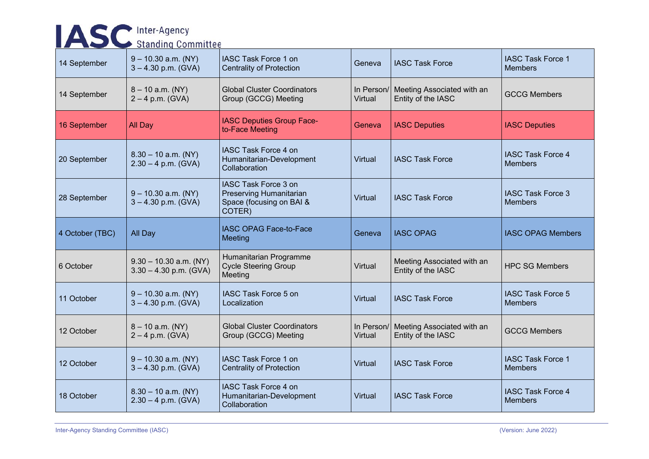| <b>IASC</b> Inter-Agency<br><b>Standing Committee</b> |                                                      |                                                                                       |                       |                                                  |                                            |  |
|-------------------------------------------------------|------------------------------------------------------|---------------------------------------------------------------------------------------|-----------------------|--------------------------------------------------|--------------------------------------------|--|
| 14 September                                          | $9 - 10.30$ a.m. (NY)<br>$3 - 4.30$ p.m. (GVA)       | IASC Task Force 1 on<br><b>Centrality of Protection</b>                               | Geneva                | <b>IASC Task Force</b>                           | <b>IASC Task Force 1</b><br><b>Members</b> |  |
| 14 September                                          | $8 - 10$ a.m. (NY)<br>$2 - 4$ p.m. (GVA)             | <b>Global Cluster Coordinators</b><br>Group (GCCG) Meeting                            | In Person/<br>Virtual | Meeting Associated with an<br>Entity of the IASC | <b>GCCG Members</b>                        |  |
| 16 September                                          | <b>All Day</b>                                       | IASC Deputies Group Face-<br>to-Face Meeting                                          | Geneva                | <b>IASC Deputies</b>                             | <b>IASC Deputies</b>                       |  |
| 20 September                                          | $8.30 - 10$ a.m. (NY)<br>$2.30 - 4$ p.m. (GVA)       | IASC Task Force 4 on<br>Humanitarian-Development<br>Collaboration                     | Virtual               | <b>IASC Task Force</b>                           | <b>IASC Task Force 4</b><br><b>Members</b> |  |
| 28 September                                          | $9 - 10.30$ a.m. (NY)<br>$3 - 4.30$ p.m. (GVA)       | IASC Task Force 3 on<br>Preserving Humanitarian<br>Space (focusing on BAI &<br>COTER) | Virtual               | <b>IASC Task Force</b>                           | <b>IASC Task Force 3</b><br><b>Members</b> |  |
| 4 October (TBC)                                       | All Day                                              | <b>IASC OPAG Face-to-Face</b><br>Meeting                                              | Geneva                | <b>IASC OPAG</b>                                 | <b>IASC OPAG Members</b>                   |  |
| 6 October                                             | $9.30 - 10.30$ a.m. (NY)<br>$3.30 - 4.30$ p.m. (GVA) | Humanitarian Programme<br><b>Cycle Steering Group</b><br>Meeting                      | Virtual               | Meeting Associated with an<br>Entity of the IASC | <b>HPC SG Members</b>                      |  |
| 11 October                                            | $9 - 10.30$ a.m. (NY)<br>$3 - 4.30$ p.m. (GVA)       | IASC Task Force 5 on<br>Localization                                                  | Virtual               | <b>IASC Task Force</b>                           | <b>IASC Task Force 5</b><br><b>Members</b> |  |
| 12 October                                            | $8 - 10$ a.m. (NY)<br>$2 - 4$ p.m. (GVA)             | <b>Global Cluster Coordinators</b><br>Group (GCCG) Meeting                            | In Person/<br>Virtual | Meeting Associated with an<br>Entity of the IASC | <b>GCCG Members</b>                        |  |
| 12 October                                            | $9 - 10.30$ a.m. (NY)<br>$3 - 4.30$ p.m. (GVA)       | IASC Task Force 1 on<br><b>Centrality of Protection</b>                               | Virtual               | <b>IASC Task Force</b>                           | <b>IASC Task Force 1</b><br><b>Members</b> |  |
| 18 October                                            | $8.30 - 10$ a.m. (NY)<br>$2.30 - 4$ p.m. (GVA)       | IASC Task Force 4 on<br>Humanitarian-Development<br>Collaboration                     | Virtual               | <b>IASC Task Force</b>                           | <b>IASC Task Force 4</b><br><b>Members</b> |  |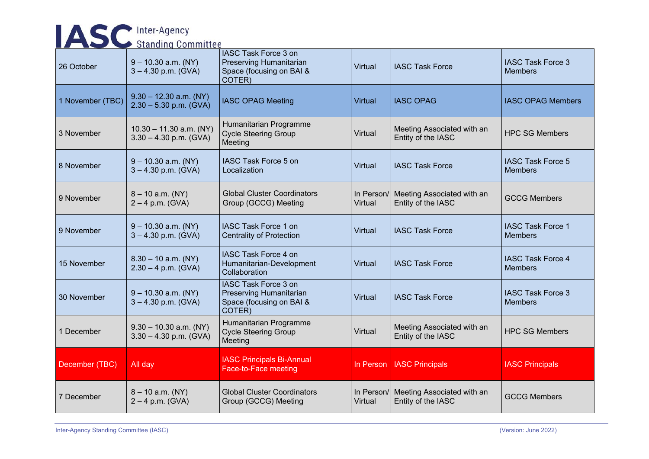| <b>IASC</b> Inter-Agency  |                                                       |                                                                                              |                       |                                                  |                                            |  |
|---------------------------|-------------------------------------------------------|----------------------------------------------------------------------------------------------|-----------------------|--------------------------------------------------|--------------------------------------------|--|
| <b>Standing Committee</b> |                                                       |                                                                                              |                       |                                                  |                                            |  |
| 26 October                | $9 - 10.30$ a.m. (NY)<br>$3 - 4.30$ p.m. (GVA)        | <b>IASC Task Force 3 on</b><br>Preserving Humanitarian<br>Space (focusing on BAI &<br>COTER) | Virtual               | <b>IASC Task Force</b>                           | <b>IASC Task Force 3</b><br><b>Members</b> |  |
| 1 November (TBC)          | $9.30 - 12.30$ a.m. (NY)<br>$2.30 - 5.30$ p.m. (GVA)  | <b>IASC OPAG Meeting</b>                                                                     | <b>Virtual</b>        | <b>IASC OPAG</b>                                 | <b>IASC OPAG Members</b>                   |  |
| 3 November                | $10.30 - 11.30$ a.m. (NY)<br>$3.30 - 4.30$ p.m. (GVA) | Humanitarian Programme<br><b>Cycle Steering Group</b><br>Meeting                             | Virtual               | Meeting Associated with an<br>Entity of the IASC | <b>HPC SG Members</b>                      |  |
| 8 November                | $9 - 10.30$ a.m. (NY)<br>$3 - 4.30$ p.m. (GVA)        | IASC Task Force 5 on<br>Localization                                                         | Virtual               | <b>IASC Task Force</b>                           | <b>IASC Task Force 5</b><br><b>Members</b> |  |
| 9 November                | $8 - 10$ a.m. (NY)<br>$2 - 4$ p.m. (GVA)              | <b>Global Cluster Coordinators</b><br>Group (GCCG) Meeting                                   | In Person/<br>Virtual | Meeting Associated with an<br>Entity of the IASC | <b>GCCG Members</b>                        |  |
| 9 November                | $9 - 10.30$ a.m. (NY)<br>$3 - 4.30$ p.m. (GVA)        | IASC Task Force 1 on<br><b>Centrality of Protection</b>                                      | <b>Virtual</b>        | <b>IASC Task Force</b>                           | <b>IASC Task Force 1</b><br><b>Members</b> |  |
| 15 November               | $8.30 - 10$ a.m. (NY)<br>$2.30 - 4$ p.m. (GVA)        | IASC Task Force 4 on<br>Humanitarian-Development<br>Collaboration                            | Virtual               | <b>IASC Task Force</b>                           | <b>IASC Task Force 4</b><br><b>Members</b> |  |
| 30 November               | $9 - 10.30$ a.m. (NY)<br>$3 - 4.30$ p.m. (GVA)        | IASC Task Force 3 on<br>Preserving Humanitarian<br>Space (focusing on BAI &<br>COTER)        | Virtual               | <b>IASC Task Force</b>                           | <b>IASC Task Force 3</b><br><b>Members</b> |  |
| 1 December                | $9.30 - 10.30$ a.m. (NY)<br>$3.30 - 4.30$ p.m. (GVA)  | Humanitarian Programme<br><b>Cycle Steering Group</b><br>Meeting                             | Virtual               | Meeting Associated with an<br>Entity of the IASC | <b>HPC SG Members</b>                      |  |
| December (TBC)            | All day                                               | <b>IASC Principals Bi-Annual</b><br>Face-to-Face meeting                                     | In Person             | <b>IASC Principals</b>                           | <b>IASC Principals</b>                     |  |
| 7 December                | $8 - 10$ a.m. (NY)<br>$2 - 4$ p.m. (GVA)              | <b>Global Cluster Coordinators</b><br>Group (GCCG) Meeting                                   | In Person/<br>Virtual | Meeting Associated with an<br>Entity of the IASC | <b>GCCG Members</b>                        |  |